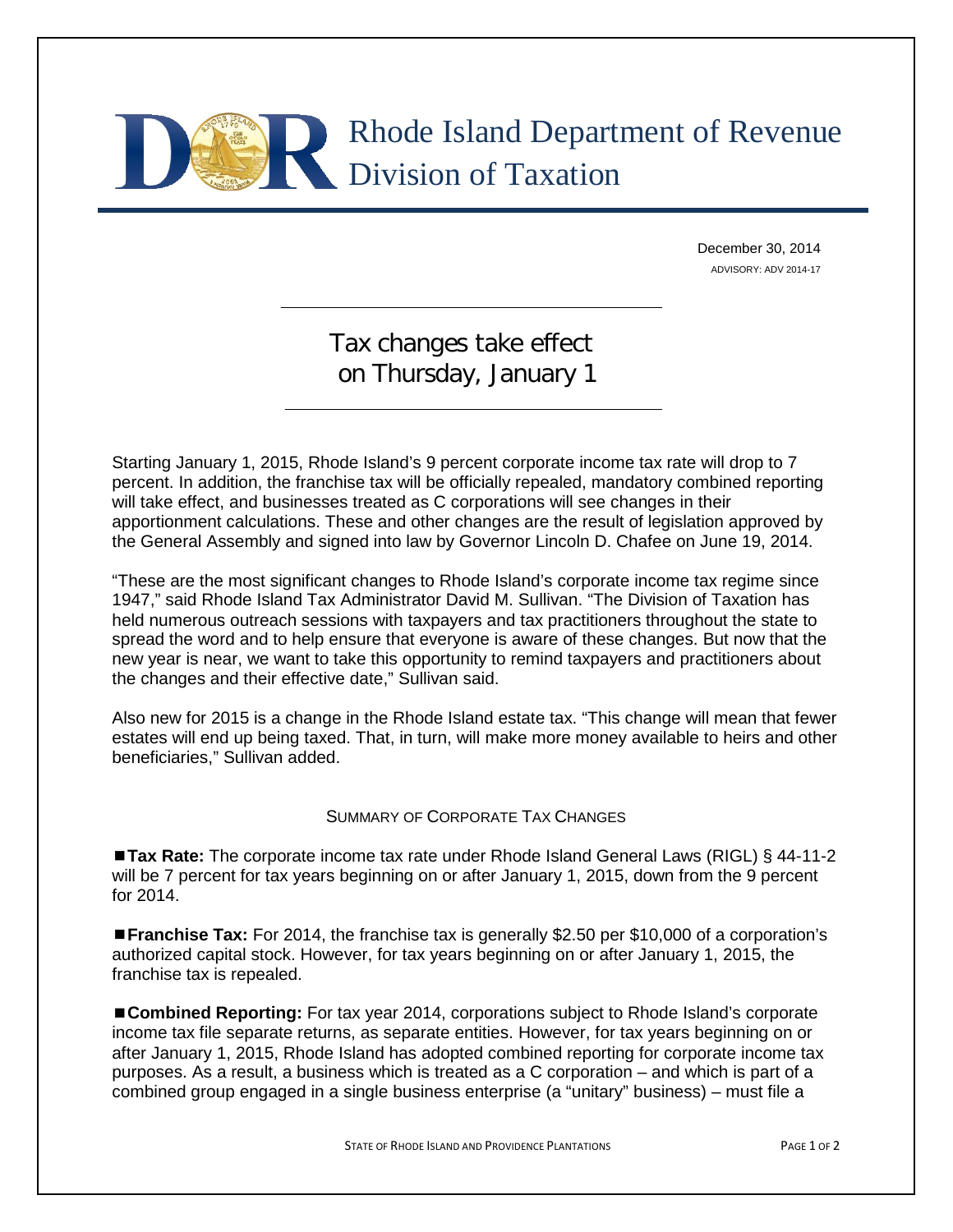## Rhode Island Department of Revenue Division of Taxation

December 30, 2014 ADVISORY: ADV 2014-17

## Tax changes take effect on Thursday, January 1

Starting January 1, 2015, Rhode Island's 9 percent corporate income tax rate will drop to 7 percent. In addition, the franchise tax will be officially repealed, mandatory combined reporting will take effect, and businesses treated as C corporations will see changes in their apportionment calculations. These and other changes are the result of legislation approved by the General Assembly and signed into law by Governor Lincoln D. Chafee on June 19, 2014.

"These are the most significant changes to Rhode Island's corporate income tax regime since 1947," said Rhode Island Tax Administrator David M. Sullivan. "The Division of Taxation has held numerous outreach sessions with taxpayers and tax practitioners throughout the state to spread the word and to help ensure that everyone is aware of these changes. But now that the new year is near, we want to take this opportunity to remind taxpayers and practitioners about the changes and their effective date," Sullivan said.

Also new for 2015 is a change in the Rhode Island estate tax. "This change will mean that fewer estates will end up being taxed. That, in turn, will make more money available to heirs and other beneficiaries," Sullivan added.

## SUMMARY OF CORPORATE TAX CHANGES

■ Tax Rate: The corporate income tax rate under Rhode Island General Laws (RIGL) § 44-11-2 will be 7 percent for tax years beginning on or after January 1, 2015, down from the 9 percent for 2014.

**Franchise Tax:** For 2014, the franchise tax is generally \$2.50 per \$10,000 of a corporation's authorized capital stock. However, for tax years beginning on or after January 1, 2015, the franchise tax is repealed.

**Combined Reporting:** For tax year 2014, corporations subject to Rhode Island's corporate income tax file separate returns, as separate entities. However, for tax years beginning on or after January 1, 2015, Rhode Island has adopted combined reporting for corporate income tax purposes. As a result, a business which is treated as a C corporation – and which is part of a combined group engaged in a single business enterprise (a "unitary" business) – must file a